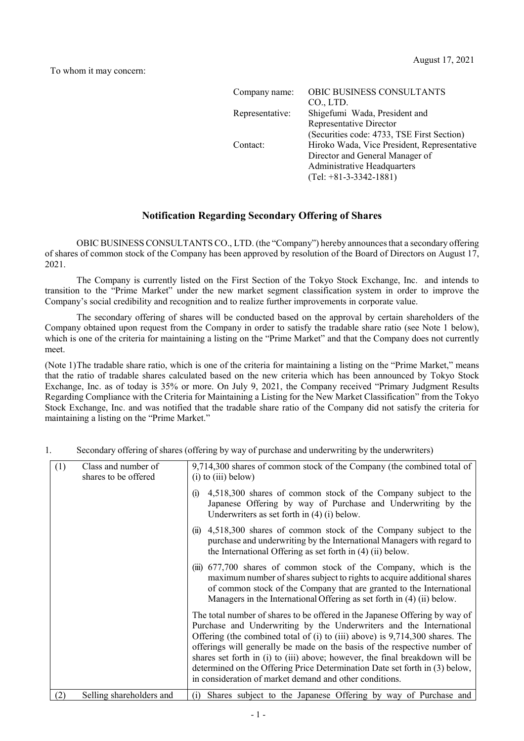| Company name:   | OBIC BUSINESS CONSULTANTS                   |
|-----------------|---------------------------------------------|
|                 | CO., LTD.                                   |
| Representative: | Shigefumi Wada, President and               |
|                 | Representative Director                     |
|                 | (Securities code: 4733, TSE First Section)  |
| Contact:        | Hiroko Wada, Vice President, Representative |
|                 | Director and General Manager of             |
|                 | Administrative Headquarters                 |
|                 | $(Tel: +81-3-3342-1881)$                    |

# **Notification Regarding Secondary Offering of Shares**

OBIC BUSINESS CONSULTANTS CO., LTD. (the "Company") hereby announces that a secondary offering of shares of common stock of the Company has been approved by resolution of the Board of Directors on August 17, 2021.

The Company is currently listed on the First Section of the Tokyo Stock Exchange, Inc. and intends to transition to the "Prime Market" under the new market segment classification system in order to improve the Company's social credibility and recognition and to realize further improvements in corporate value.

The secondary offering of shares will be conducted based on the approval by certain shareholders of the Company obtained upon request from the Company in order to satisfy the tradable share ratio (see Note 1 below), which is one of the criteria for maintaining a listing on the "Prime Market" and that the Company does not currently meet.

(Note 1)The tradable share ratio, which is one of the criteria for maintaining a listing on the "Prime Market," means that the ratio of tradable shares calculated based on the new criteria which has been announced by Tokyo Stock Exchange, Inc. as of today is 35% or more. On July 9, 2021, the Company received "Primary Judgment Results Regarding Compliance with the Criteria for Maintaining a Listing for the New Market Classification" from the Tokyo Stock Exchange, Inc. and was notified that the tradable share ratio of the Company did not satisfy the criteria for maintaining a listing on the "Prime Market."

| (1) | Class and number of<br>shares to be offered | 9,714,300 shares of common stock of the Company (the combined total of<br>$(i)$ to $(iii)$ below)                                                                                                                                                                                                                                                                                                                                                                                                                                         |
|-----|---------------------------------------------|-------------------------------------------------------------------------------------------------------------------------------------------------------------------------------------------------------------------------------------------------------------------------------------------------------------------------------------------------------------------------------------------------------------------------------------------------------------------------------------------------------------------------------------------|
|     |                                             | 4,518,300 shares of common stock of the Company subject to the<br>(i)<br>Japanese Offering by way of Purchase and Underwriting by the<br>Underwriters as set forth in $(4)$ (i) below.                                                                                                                                                                                                                                                                                                                                                    |
|     |                                             | 4,518,300 shares of common stock of the Company subject to the<br>(11)<br>purchase and underwriting by the International Managers with regard to<br>the International Offering as set forth in $(4)$ (ii) below.                                                                                                                                                                                                                                                                                                                          |
|     |                                             | (iii) 677,700 shares of common stock of the Company, which is the<br>maximum number of shares subject to rights to acquire additional shares<br>of common stock of the Company that are granted to the International<br>Managers in the International Offering as set forth in (4) (ii) below.                                                                                                                                                                                                                                            |
|     |                                             | The total number of shares to be offered in the Japanese Offering by way of<br>Purchase and Underwriting by the Underwriters and the International<br>Offering (the combined total of (i) to (iii) above) is 9,714,300 shares. The<br>offerings will generally be made on the basis of the respective number of<br>shares set forth in (i) to (iii) above; however, the final breakdown will be<br>determined on the Offering Price Determination Date set forth in (3) below,<br>in consideration of market demand and other conditions. |
| (2) | Selling shareholders and                    | Shares subject to the Japanese Offering by way of Purchase and<br>(1)                                                                                                                                                                                                                                                                                                                                                                                                                                                                     |

## 1. Secondary offering of shares (offering by way of purchase and underwriting by the underwriters)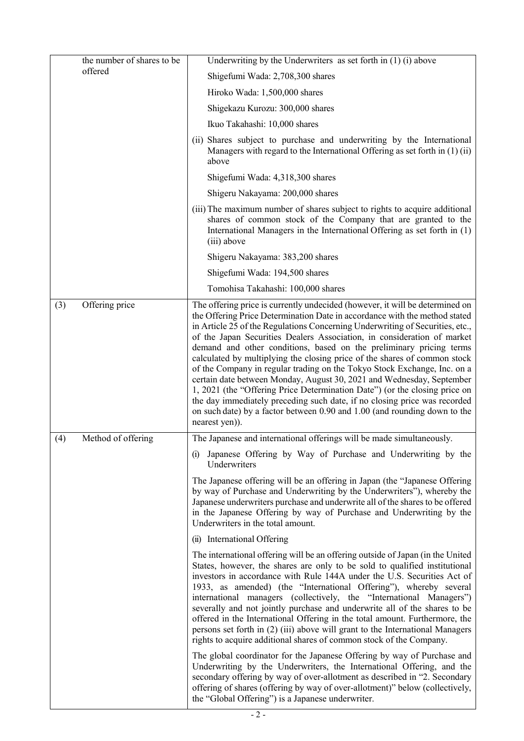| the number of shares to be | Underwriting by the Underwriters as set forth in $(1)$ (i) above                                                                                                                                                                                                                                                                                                                                                                                                                                                                                                                                                                                                                                                                                                                                                                                                                          |
|----------------------------|-------------------------------------------------------------------------------------------------------------------------------------------------------------------------------------------------------------------------------------------------------------------------------------------------------------------------------------------------------------------------------------------------------------------------------------------------------------------------------------------------------------------------------------------------------------------------------------------------------------------------------------------------------------------------------------------------------------------------------------------------------------------------------------------------------------------------------------------------------------------------------------------|
| offered                    | Shigefumi Wada: 2,708,300 shares                                                                                                                                                                                                                                                                                                                                                                                                                                                                                                                                                                                                                                                                                                                                                                                                                                                          |
|                            | Hiroko Wada: 1,500,000 shares                                                                                                                                                                                                                                                                                                                                                                                                                                                                                                                                                                                                                                                                                                                                                                                                                                                             |
|                            | Shigekazu Kurozu: 300,000 shares                                                                                                                                                                                                                                                                                                                                                                                                                                                                                                                                                                                                                                                                                                                                                                                                                                                          |
|                            | Ikuo Takahashi: 10,000 shares                                                                                                                                                                                                                                                                                                                                                                                                                                                                                                                                                                                                                                                                                                                                                                                                                                                             |
|                            | (ii) Shares subject to purchase and underwriting by the International<br>Managers with regard to the International Offering as set forth in $(1)(ii)$<br>above                                                                                                                                                                                                                                                                                                                                                                                                                                                                                                                                                                                                                                                                                                                            |
|                            | Shigefumi Wada: 4,318,300 shares                                                                                                                                                                                                                                                                                                                                                                                                                                                                                                                                                                                                                                                                                                                                                                                                                                                          |
|                            | Shigeru Nakayama: 200,000 shares                                                                                                                                                                                                                                                                                                                                                                                                                                                                                                                                                                                                                                                                                                                                                                                                                                                          |
|                            | (iii) The maximum number of shares subject to rights to acquire additional<br>shares of common stock of the Company that are granted to the<br>International Managers in the International Offering as set forth in (1)<br>(iii) above                                                                                                                                                                                                                                                                                                                                                                                                                                                                                                                                                                                                                                                    |
|                            | Shigeru Nakayama: 383,200 shares                                                                                                                                                                                                                                                                                                                                                                                                                                                                                                                                                                                                                                                                                                                                                                                                                                                          |
|                            | Shigefumi Wada: 194,500 shares                                                                                                                                                                                                                                                                                                                                                                                                                                                                                                                                                                                                                                                                                                                                                                                                                                                            |
|                            | Tomohisa Takahashi: 100,000 shares                                                                                                                                                                                                                                                                                                                                                                                                                                                                                                                                                                                                                                                                                                                                                                                                                                                        |
| (3)<br>Offering price      | The offering price is currently undecided (however, it will be determined on<br>the Offering Price Determination Date in accordance with the method stated<br>in Article 25 of the Regulations Concerning Underwriting of Securities, etc.,<br>of the Japan Securities Dealers Association, in consideration of market<br>demand and other conditions, based on the preliminary pricing terms<br>calculated by multiplying the closing price of the shares of common stock<br>of the Company in regular trading on the Tokyo Stock Exchange, Inc. on a<br>certain date between Monday, August 30, 2021 and Wednesday, September<br>1, 2021 (the "Offering Price Determination Date") (or the closing price on<br>the day immediately preceding such date, if no closing price was recorded<br>on such date) by a factor between 0.90 and 1.00 (and rounding down to the<br>nearest yen)). |
| Method of offering<br>(4)  | The Japanese and international offerings will be made simultaneously.                                                                                                                                                                                                                                                                                                                                                                                                                                                                                                                                                                                                                                                                                                                                                                                                                     |
|                            | Japanese Offering by Way of Purchase and Underwriting by the<br>(i)<br>Underwriters                                                                                                                                                                                                                                                                                                                                                                                                                                                                                                                                                                                                                                                                                                                                                                                                       |
|                            | The Japanese offering will be an offering in Japan (the "Japanese Offering<br>by way of Purchase and Underwriting by the Underwriters"), whereby the<br>Japanese underwriters purchase and underwrite all of the shares to be offered<br>in the Japanese Offering by way of Purchase and Underwriting by the<br>Underwriters in the total amount.                                                                                                                                                                                                                                                                                                                                                                                                                                                                                                                                         |
|                            | (ii) International Offering                                                                                                                                                                                                                                                                                                                                                                                                                                                                                                                                                                                                                                                                                                                                                                                                                                                               |
|                            | The international offering will be an offering outside of Japan (in the United<br>States, however, the shares are only to be sold to qualified institutional<br>investors in accordance with Rule 144A under the U.S. Securities Act of<br>1933, as amended) (the "International Offering"), whereby several<br>international managers (collectively, the "International Managers")<br>severally and not jointly purchase and underwrite all of the shares to be<br>offered in the International Offering in the total amount. Furthermore, the<br>persons set forth in (2) (iii) above will grant to the International Managers<br>rights to acquire additional shares of common stock of the Company.                                                                                                                                                                                   |
|                            | The global coordinator for the Japanese Offering by way of Purchase and<br>Underwriting by the Underwriters, the International Offering, and the<br>secondary offering by way of over-allotment as described in "2. Secondary<br>offering of shares (offering by way of over-allotment)" below (collectively,<br>the "Global Offering") is a Japanese underwriter.                                                                                                                                                                                                                                                                                                                                                                                                                                                                                                                        |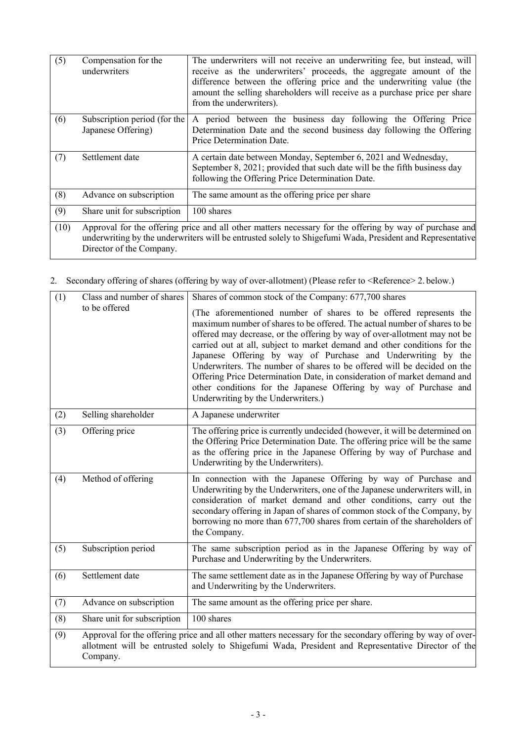| (5)  | Compensation for the<br>underwriters                                                                                                                                                                                                             | The underwriters will not receive an underwriting fee, but instead, will<br>receive as the underwriters' proceeds, the aggregate amount of the<br>difference between the offering price and the underwriting value (the<br>amount the selling shareholders will receive as a purchase price per share<br>from the underwriters). |
|------|--------------------------------------------------------------------------------------------------------------------------------------------------------------------------------------------------------------------------------------------------|----------------------------------------------------------------------------------------------------------------------------------------------------------------------------------------------------------------------------------------------------------------------------------------------------------------------------------|
| (6)  | Subscription period (for the<br>Japanese Offering)                                                                                                                                                                                               | A period between the business day following the Offering Price<br>Determination Date and the second business day following the Offering<br>Price Determination Date.                                                                                                                                                             |
| (7)  | Settlement date                                                                                                                                                                                                                                  | A certain date between Monday, September 6, 2021 and Wednesday,<br>September 8, 2021; provided that such date will be the fifth business day<br>following the Offering Price Determination Date.                                                                                                                                 |
| (8)  | Advance on subscription                                                                                                                                                                                                                          | The same amount as the offering price per share                                                                                                                                                                                                                                                                                  |
| (9)  | Share unit for subscription                                                                                                                                                                                                                      | 100 shares                                                                                                                                                                                                                                                                                                                       |
| (10) | Approval for the offering price and all other matters necessary for the offering by way of purchase and<br>underwriting by the underwriters will be entrusted solely to Shigefumi Wada, President and Representative<br>Director of the Company. |                                                                                                                                                                                                                                                                                                                                  |

2. Secondary offering of shares (offering by way of over-allotment) (Please refer to <Reference> 2. below.)

| (1) | Class and number of shares  | Shares of common stock of the Company: 677,700 shares                                                                                                                                                                                                                                                                                                                                                                                                                                                                                                                                                                                      |
|-----|-----------------------------|--------------------------------------------------------------------------------------------------------------------------------------------------------------------------------------------------------------------------------------------------------------------------------------------------------------------------------------------------------------------------------------------------------------------------------------------------------------------------------------------------------------------------------------------------------------------------------------------------------------------------------------------|
|     | to be offered               | (The aforementioned number of shares to be offered represents the<br>maximum number of shares to be offered. The actual number of shares to be<br>offered may decrease, or the offering by way of over-allotment may not be<br>carried out at all, subject to market demand and other conditions for the<br>Japanese Offering by way of Purchase and Underwriting by the<br>Underwriters. The number of shares to be offered will be decided on the<br>Offering Price Determination Date, in consideration of market demand and<br>other conditions for the Japanese Offering by way of Purchase and<br>Underwriting by the Underwriters.) |
| (2) | Selling shareholder         | A Japanese underwriter                                                                                                                                                                                                                                                                                                                                                                                                                                                                                                                                                                                                                     |
| (3) | Offering price              | The offering price is currently undecided (however, it will be determined on<br>the Offering Price Determination Date. The offering price will be the same<br>as the offering price in the Japanese Offering by way of Purchase and<br>Underwriting by the Underwriters).                                                                                                                                                                                                                                                                                                                                                                  |
| (4) | Method of offering          | In connection with the Japanese Offering by way of Purchase and<br>Underwriting by the Underwriters, one of the Japanese underwriters will, in<br>consideration of market demand and other conditions, carry out the<br>secondary offering in Japan of shares of common stock of the Company, by<br>borrowing no more than 677,700 shares from certain of the shareholders of<br>the Company.                                                                                                                                                                                                                                              |
| (5) | Subscription period         | The same subscription period as in the Japanese Offering by way of<br>Purchase and Underwriting by the Underwriters.                                                                                                                                                                                                                                                                                                                                                                                                                                                                                                                       |
| (6) | Settlement date             | The same settlement date as in the Japanese Offering by way of Purchase<br>and Underwriting by the Underwriters.                                                                                                                                                                                                                                                                                                                                                                                                                                                                                                                           |
| (7) | Advance on subscription     | The same amount as the offering price per share.                                                                                                                                                                                                                                                                                                                                                                                                                                                                                                                                                                                           |
| (8) | Share unit for subscription | 100 shares                                                                                                                                                                                                                                                                                                                                                                                                                                                                                                                                                                                                                                 |
| (9) | Company.                    | Approval for the offering price and all other matters necessary for the secondary offering by way of over-<br>allotment will be entrusted solely to Shigefumi Wada, President and Representative Director of the                                                                                                                                                                                                                                                                                                                                                                                                                           |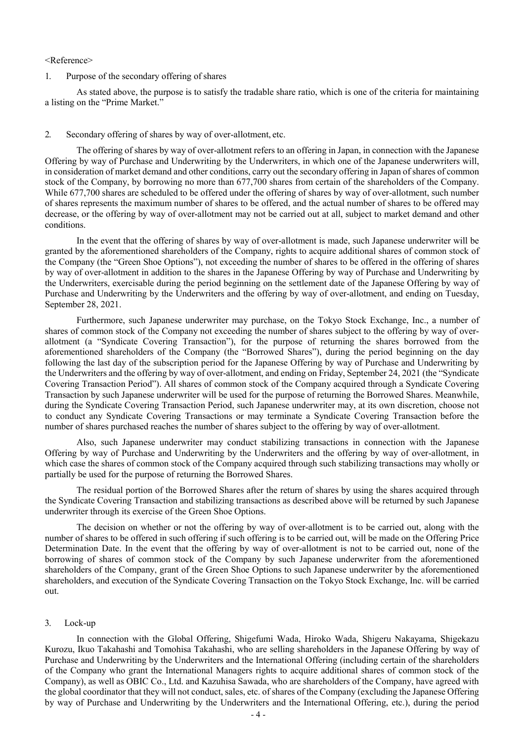#### <Reference>

### 1. Purpose of the secondary offering of shares

As stated above, the purpose is to satisfy the tradable share ratio, which is one of the criteria for maintaining a listing on the "Prime Market."

#### 2. Secondary offering of shares by way of over-allotment, etc.

The offering of shares by way of over-allotment refers to an offering in Japan, in connection with the Japanese Offering by way of Purchase and Underwriting by the Underwriters, in which one of the Japanese underwriters will, in consideration of market demand and other conditions, carry out the secondary offering in Japan of shares of common stock of the Company, by borrowing no more than 677,700 shares from certain of the shareholders of the Company. While 677,700 shares are scheduled to be offered under the offering of shares by way of over-allotment, such number of shares represents the maximum number of shares to be offered, and the actual number of shares to be offered may decrease, or the offering by way of over-allotment may not be carried out at all, subject to market demand and other conditions.

In the event that the offering of shares by way of over-allotment is made, such Japanese underwriter will be granted by the aforementioned shareholders of the Company, rights to acquire additional shares of common stock of the Company (the "Green Shoe Options"), not exceeding the number of shares to be offered in the offering of shares by way of over-allotment in addition to the shares in the Japanese Offering by way of Purchase and Underwriting by the Underwriters, exercisable during the period beginning on the settlement date of the Japanese Offering by way of Purchase and Underwriting by the Underwriters and the offering by way of over-allotment, and ending on Tuesday, September 28, 2021.

Furthermore, such Japanese underwriter may purchase, on the Tokyo Stock Exchange, Inc., a number of shares of common stock of the Company not exceeding the number of shares subject to the offering by way of overallotment (a "Syndicate Covering Transaction"), for the purpose of returning the shares borrowed from the aforementioned shareholders of the Company (the "Borrowed Shares"), during the period beginning on the day following the last day of the subscription period for the Japanese Offering by way of Purchase and Underwriting by the Underwriters and the offering by way of over-allotment, and ending on Friday, September 24, 2021 (the "Syndicate Covering Transaction Period"). All shares of common stock of the Company acquired through a Syndicate Covering Transaction by such Japanese underwriter will be used for the purpose of returning the Borrowed Shares. Meanwhile, during the Syndicate Covering Transaction Period, such Japanese underwriter may, at its own discretion, choose not to conduct any Syndicate Covering Transactions or may terminate a Syndicate Covering Transaction before the number of shares purchased reaches the number of shares subject to the offering by way of over-allotment.

Also, such Japanese underwriter may conduct stabilizing transactions in connection with the Japanese Offering by way of Purchase and Underwriting by the Underwriters and the offering by way of over-allotment, in which case the shares of common stock of the Company acquired through such stabilizing transactions may wholly or partially be used for the purpose of returning the Borrowed Shares.

The residual portion of the Borrowed Shares after the return of shares by using the shares acquired through the Syndicate Covering Transaction and stabilizing transactions as described above will be returned by such Japanese underwriter through its exercise of the Green Shoe Options.

The decision on whether or not the offering by way of over-allotment is to be carried out, along with the number of shares to be offered in such offering if such offering is to be carried out, will be made on the Offering Price Determination Date. In the event that the offering by way of over-allotment is not to be carried out, none of the borrowing of shares of common stock of the Company by such Japanese underwriter from the aforementioned shareholders of the Company, grant of the Green Shoe Options to such Japanese underwriter by the aforementioned shareholders, and execution of the Syndicate Covering Transaction on the Tokyo Stock Exchange, Inc. will be carried out.

### 3. Lock-up

In connection with the Global Offering, Shigefumi Wada, Hiroko Wada, Shigeru Nakayama, Shigekazu Kurozu, Ikuo Takahashi and Tomohisa Takahashi, who are selling shareholders in the Japanese Offering by way of Purchase and Underwriting by the Underwriters and the International Offering (including certain of the shareholders of the Company who grant the International Managers rights to acquire additional shares of common stock of the Company), as well as OBIC Co., Ltd. and Kazuhisa Sawada, who are shareholders of the Company, have agreed with the global coordinator that they will not conduct, sales, etc. of shares of the Company (excluding the Japanese Offering by way of Purchase and Underwriting by the Underwriters and the International Offering, etc.), during the period